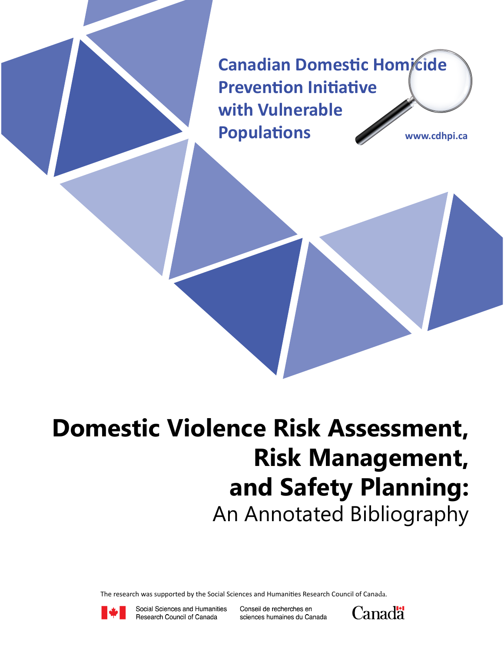**Canadian Domestic Homicide Prevention Initiative with Vulnerable Populations www.cdhpi.ca**

# **Domestic Violence Risk Assessment, Risk Management, and Safety Planning:** An Annotated Bibliography

The research was supported by the Social Sciences and Humanities Research Council of Canada.



Social Sciences and Humanities Research Council of Canada

Conseil de recherches en sciences humaines du Canada

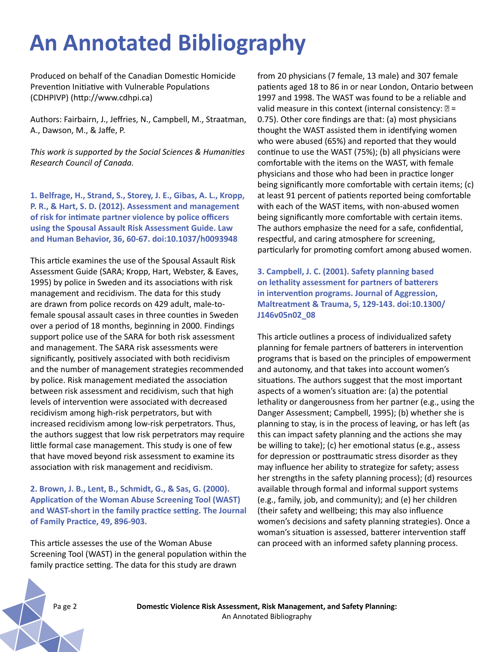# **An Annotated Bibliography**

Produced on behalf of the Canadian Domestic Homicide Prevention Initiative with Vulnerable Populations (CDHPIVP) (http://www.cdhpi.ca)

Authors: Fairbairn, J., Jeffries, N., Campbell, M., Straatman, A., Dawson, M., & Jaffe, P.

*This work is supported by the Social Sciences & Humanities Research Council of Canada.*

**1. Belfrage, H., Strand, S., Storey, J. E., Gibas, A. L., Kropp, P. R., & Hart, S. D. (2012). Assessment and management of risk for intimate partner violence by police officers using the Spousal Assault Risk Assessment Guide. Law and Human Behavior, 36, 60-67. doi:10.1037/h0093948**

This article examines the use of the Spousal Assault Risk Assessment Guide (SARA; Kropp, Hart, Webster, & Eaves, 1995) by police in Sweden and its associations with risk management and recidivism. The data for this study are drawn from police records on 429 adult, male-tofemale spousal assault cases in three counties in Sweden over a period of 18 months, beginning in 2000. Findings support police use of the SARA for both risk assessment and management. The SARA risk assessments were significantly, positively associated with both recidivism and the number of management strategies recommended by police. Risk management mediated the association between risk assessment and recidivism, such that high levels of intervention were associated with decreased recidivism among high-risk perpetrators, but with increased recidivism among low-risk perpetrators. Thus, the authors suggest that low risk perpetrators may require little formal case management. This study is one of few that have moved beyond risk assessment to examine its association with risk management and recidivism.

#### **2. Brown, J. B., Lent, B., Schmidt, G., & Sas, G. (2000). Application of the Woman Abuse Screening Tool (WAST) and WAST-short in the family practice setting. The Journal of Family Practice, 49, 896-903.**

This article assesses the use of the Woman Abuse Screening Tool (WAST) in the general population within the family practice setting. The data for this study are drawn

from 20 physicians (7 female, 13 male) and 307 female patients aged 18 to 86 in or near London, Ontario between 1997 and 1998. The WAST was found to be a reliable and valid measure in this context (internal consistency:  $\mathbb{D}$  = 0.75). Other core findings are that: (a) most physicians thought the WAST assisted them in identifying women who were abused (65%) and reported that they would continue to use the WAST (75%); (b) all physicians were comfortable with the items on the WAST, with female physicians and those who had been in practice longer being significantly more comfortable with certain items; (c) at least 91 percent of patients reported being comfortable with each of the WAST items, with non-abused women being significantly more comfortable with certain items. The authors emphasize the need for a safe, confidential, respectful, and caring atmosphere for screening, particularly for promoting comfort among abused women.

**3. Campbell, J. C. (2001). Safety planning based on lethality assessment for partners of batterers in intervention programs. Journal of Aggression, Maltreatment & Trauma, 5, 129-143. doi:10.1300/ J146v05n02\_08** 

This article outlines a process of individualized safety planning for female partners of batterers in intervention programs that is based on the principles of empowerment and autonomy, and that takes into account women's situations. The authors suggest that the most important aspects of a women's situation are: (a) the potential lethality or dangerousness from her partner (e.g., using the Danger Assessment; Campbell, 1995); (b) whether she is planning to stay, is in the process of leaving, or has left (as this can impact safety planning and the actions she may be willing to take); (c) her emotional status (e.g., assess for depression or posttraumatic stress disorder as they may influence her ability to strategize for safety; assess her strengths in the safety planning process); (d) resources available through formal and informal support systems (e.g., family, job, and community); and (e) her children (their safety and wellbeing; this may also influence women's decisions and safety planning strategies). Once a woman's situation is assessed, batterer intervention staff can proceed with an informed safety planning process.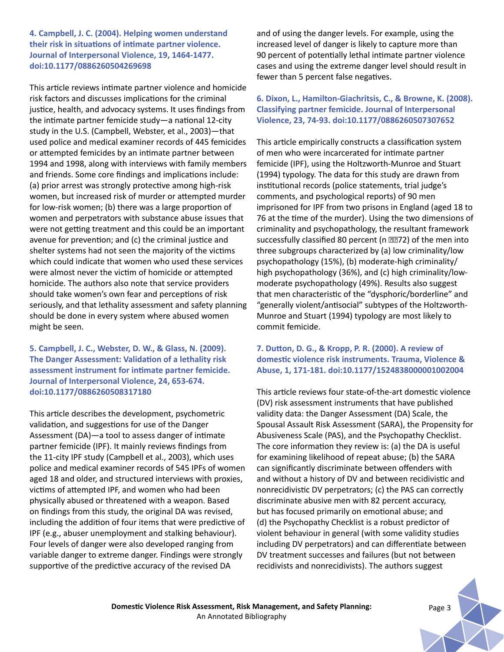**4. Campbell, J. C. (2004). Helping women understand their risk in situations of intimate partner violence. Journal of Interpersonal Violence, 19, 1464-1477. doi:10.1177/0886260504269698**

This article reviews intimate partner violence and homicide risk factors and discusses implications for the criminal justice, health, and advocacy systems. It uses findings from the intimate partner femicide study—a national 12-city study in the U.S. (Campbell, Webster, et al., 2003)—that used police and medical examiner records of 445 femicides or attempted femicides by an intimate partner between 1994 and 1998, along with interviews with family members and friends. Some core findings and implications include: (a) prior arrest was strongly protective among high-risk women, but increased risk of murder or attempted murder for low-risk women; (b) there was a large proportion of women and perpetrators with substance abuse issues that were not getting treatment and this could be an important avenue for prevention; and (c) the criminal justice and shelter systems had not seen the majority of the victims which could indicate that women who used these services were almost never the victim of homicide or attempted homicide. The authors also note that service providers should take women's own fear and perceptions of risk seriously, and that lethality assessment and safety planning should be done in every system where abused women might be seen.

**5. Campbell, J. C., Webster, D. W., & Glass, N. (2009). The Danger Assessment: Validation of a lethality risk assessment instrument for intimate partner femicide. Journal of Interpersonal Violence, 24, 653-674. doi:10.1177/0886260508317180**

This article describes the development, psychometric validation, and suggestions for use of the Danger Assessment (DA)—a tool to assess danger of intimate partner femicide (IPF). It mainly reviews findings from the 11-city IPF study (Campbell et al., 2003), which uses police and medical examiner records of 545 IPFs of women aged 18 and older, and structured interviews with proxies, victims of attempted IPF, and women who had been physically abused or threatened with a weapon. Based on findings from this study, the original DA was revised, including the addition of four items that were predictive of IPF (e.g., abuser unemployment and stalking behaviour). Four levels of danger were also developed ranging from variable danger to extreme danger. Findings were strongly supportive of the predictive accuracy of the revised DA

and of using the danger levels. For example, using the increased level of danger is likely to capture more than 90 percent of potentially lethal intimate partner violence cases and using the extreme danger level should result in fewer than 5 percent false negatives.

#### **6. Dixon, L., Hamilton-Giachritsis, C., & Browne, K. (2008). Classifying partner femicide. Journal of Interpersonal Violence, 23, 74-93. doi:10.1177/0886260507307652**

This article empirically constructs a classification system of men who were incarcerated for intimate partner femicide (IPF), using the Holtzworth-Munroe and Stuart (1994) typology. The data for this study are drawn from institutional records (police statements, trial judge's comments, and psychological reports) of 90 men imprisoned for IPF from two prisons in England (aged 18 to 76 at the time of the murder). Using the two dimensions of criminality and psychopathology, the resultant framework successfully classified 80 percent (n 2272) of the men into three subgroups characterized by (a) low criminality/low psychopathology (15%), (b) moderate-high criminality/ high psychopathology (36%), and (c) high criminality/lowmoderate psychopathology (49%). Results also suggest that men characteristic of the "dysphoric/borderline" and "generally violent/antisocial" subtypes of the Holtzworth-Munroe and Stuart (1994) typology are most likely to commit femicide.

# **7. Dutton, D. G., & Kropp, P. R. (2000). A review of domestic violence risk instruments. Trauma, Violence & Abuse, 1, 171-181. doi:10.1177/1524838000001002004**

This article reviews four state-of-the-art domestic violence (DV) risk assessment instruments that have published validity data: the Danger Assessment (DA) Scale, the Spousal Assault Risk Assessment (SARA), the Propensity for Abusiveness Scale (PAS), and the Psychopathy Checklist. The core information they review is: (a) the DA is useful for examining likelihood of repeat abuse; (b) the SARA can significantly discriminate between offenders with and without a history of DV and between recidivistic and nonrecidivistic DV perpetrators; (c) the PAS can correctly discriminate abusive men with 82 percent accuracy, but has focused primarily on emotional abuse; and (d) the Psychopathy Checklist is a robust predictor of violent behaviour in general (with some validity studies including DV perpetrators) and can differentiate between DV treatment successes and failures (but not between recidivists and nonrecidivists). The authors suggest

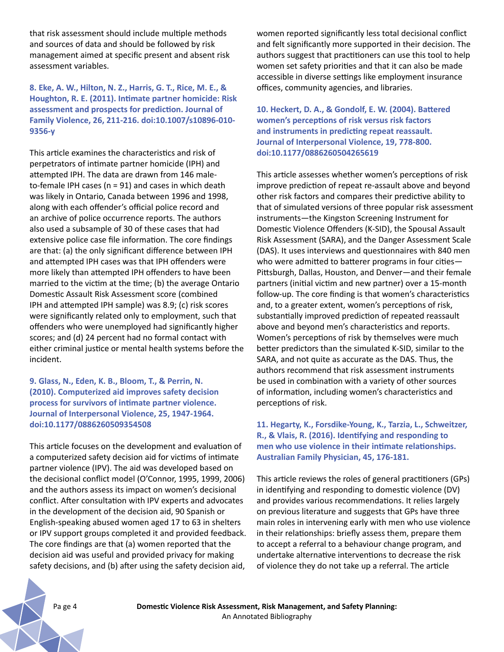that risk assessment should include multiple methods and sources of data and should be followed by risk management aimed at specific present and absent risk assessment variables.

**8. Eke, A. W., Hilton, N. Z., Harris, G. T., Rice, M. E., & Houghton, R. E. (2011). Intimate partner homicide: Risk assessment and prospects for prediction. Journal of Family Violence, 26, 211-216. doi:10.1007/s10896-010- 9356-y**

This article examines the characteristics and risk of perpetrators of intimate partner homicide (IPH) and attempted IPH. The data are drawn from 146 maleto-female IPH cases ( $n = 91$ ) and cases in which death was likely in Ontario, Canada between 1996 and 1998, along with each offender's official police record and an archive of police occurrence reports. The authors also used a subsample of 30 of these cases that had extensive police case file information. The core findings are that: (a) the only significant difference between IPH and attempted IPH cases was that IPH offenders were more likely than attempted IPH offenders to have been married to the victim at the time; (b) the average Ontario Domestic Assault Risk Assessment score (combined IPH and attempted IPH sample) was 8.9; (c) risk scores were significantly related only to employment, such that offenders who were unemployed had significantly higher scores; and (d) 24 percent had no formal contact with either criminal justice or mental health systems before the incident.

# **9. Glass, N., Eden, K. B., Bloom, T., & Perrin, N. (2010). Computerized aid improves safety decision process for survivors of intimate partner violence. Journal of Interpersonal Violence, 25, 1947-1964. doi:10.1177/0886260509354508**

This article focuses on the development and evaluation of a computerized safety decision aid for victims of intimate partner violence (IPV). The aid was developed based on the decisional conflict model (O'Connor, 1995, 1999, 2006) and the authors assess its impact on women's decisional conflict. After consultation with IPV experts and advocates in the development of the decision aid, 90 Spanish or English-speaking abused women aged 17 to 63 in shelters or IPV support groups completed it and provided feedback. The core findings are that (a) women reported that the decision aid was useful and provided privacy for making safety decisions, and (b) after using the safety decision aid,

women reported significantly less total decisional conflict and felt significantly more supported in their decision. The authors suggest that practitioners can use this tool to help women set safety priorities and that it can also be made accessible in diverse settings like employment insurance offices, community agencies, and libraries.

**10. Heckert, D. A., & Gondolf, E. W. (2004). Battered women's perceptions of risk versus risk factors and instruments in predicting repeat reassault. Journal of Interpersonal Violence, 19, 778-800. doi:10.1177/0886260504265619**

This article assesses whether women's perceptions of risk improve prediction of repeat re-assault above and beyond other risk factors and compares their predictive ability to that of simulated versions of three popular risk assessment instruments—the Kingston Screening Instrument for Domestic Violence Offenders (K-SID), the Spousal Assault Risk Assessment (SARA), and the Danger Assessment Scale (DAS). It uses interviews and questionnaires with 840 men who were admitted to batterer programs in four cities-Pittsburgh, Dallas, Houston, and Denver—and their female partners (initial victim and new partner) over a 15-month follow-up. The core finding is that women's characteristics and, to a greater extent, women's perceptions of risk, substantially improved prediction of repeated reassault above and beyond men's characteristics and reports. Women's perceptions of risk by themselves were much better predictors than the simulated K-SID, similar to the SARA, and not quite as accurate as the DAS. Thus, the authors recommend that risk assessment instruments be used in combination with a variety of other sources of information, including women's characteristics and perceptions of risk.

# **11. Hegarty, K., Forsdike-Young, K., Tarzia, L., Schweitzer, R., & Vlais, R. (2016). Identifying and responding to men who use violence in their intimate relationships. Australian Family Physician, 45, 176-181.**

This article reviews the roles of general practitioners (GPs) in identifying and responding to domestic violence (DV) and provides various recommendations. It relies largely on previous literature and suggests that GPs have three main roles in intervening early with men who use violence in their relationships: briefly assess them, prepare them to accept a referral to a behaviour change program, and undertake alternative interventions to decrease the risk of violence they do not take up a referral. The article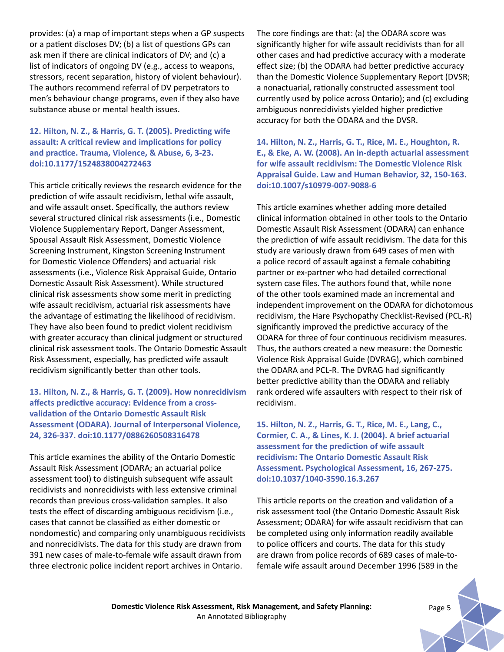provides: (a) a map of important steps when a GP suspects or a patient discloses DV; (b) a list of questions GPs can ask men if there are clinical indicators of DV; and (c) a list of indicators of ongoing DV (e.g., access to weapons, stressors, recent separation, history of violent behaviour). The authors recommend referral of DV perpetrators to men's behaviour change programs, even if they also have substance abuse or mental health issues.

# **12. Hilton, N. Z., & Harris, G. T. (2005). Predicting wife assault: A critical review and implications for policy and practice. Trauma, Violence, & Abuse, 6, 3-23. doi:10.1177/1524838004272463**

This article critically reviews the research evidence for the prediction of wife assault recidivism, lethal wife assault, and wife assault onset. Specifically, the authors review several structured clinical risk assessments (i.e., Domestic Violence Supplementary Report, Danger Assessment, Spousal Assault Risk Assessment, Domestic Violence Screening Instrument, Kingston Screening Instrument for Domestic Violence Offenders) and actuarial risk assessments (i.e., Violence Risk Appraisal Guide, Ontario Domestic Assault Risk Assessment). While structured clinical risk assessments show some merit in predicting wife assault recidivism, actuarial risk assessments have the advantage of estimating the likelihood of recidivism. They have also been found to predict violent recidivism with greater accuracy than clinical judgment or structured clinical risk assessment tools. The Ontario Domestic Assault Risk Assessment, especially, has predicted wife assault recidivism significantly better than other tools.

# **13. Hilton, N. Z., & Harris, G. T. (2009). How nonrecidivism affects predictive accuracy: Evidence from a crossvalidation of the Ontario Domestic Assault Risk Assessment (ODARA). Journal of Interpersonal Violence, 24, 326-337. doi:10.1177/0886260508316478**

This article examines the ability of the Ontario Domestic Assault Risk Assessment (ODARA; an actuarial police assessment tool) to distinguish subsequent wife assault recidivists and nonrecidivists with less extensive criminal records than previous cross-validation samples. It also tests the effect of discarding ambiguous recidivism (i.e., cases that cannot be classified as either domestic or nondomestic) and comparing only unambiguous recidivists and nonrecidivists. The data for this study are drawn from 391 new cases of male-to-female wife assault drawn from three electronic police incident report archives in Ontario.

The core findings are that: (a) the ODARA score was significantly higher for wife assault recidivists than for all other cases and had predictive accuracy with a moderate effect size; (b) the ODARA had better predictive accuracy than the Domestic Violence Supplementary Report (DVSR; a nonactuarial, rationally constructed assessment tool currently used by police across Ontario); and (c) excluding ambiguous nonrecidivists yielded higher predictive accuracy for both the ODARA and the DVSR.

**14. Hilton, N. Z., Harris, G. T., Rice, M. E., Houghton, R. E., & Eke, A. W. (2008). An in-depth actuarial assessment for wife assault recidivism: The Domestic Violence Risk Appraisal Guide. Law and Human Behavior, 32, 150-163. doi:10.1007/s10979-007-9088-6**

This article examines whether adding more detailed clinical information obtained in other tools to the Ontario Domestic Assault Risk Assessment (ODARA) can enhance the prediction of wife assault recidivism. The data for this study are variously drawn from 649 cases of men with a police record of assault against a female cohabiting partner or ex-partner who had detailed correctional system case files. The authors found that, while none of the other tools examined made an incremental and independent improvement on the ODARA for dichotomous recidivism, the Hare Psychopathy Checklist-Revised (PCL-R) significantly improved the predictive accuracy of the ODARA for three of four continuous recidivism measures. Thus, the authors created a new measure: the Domestic Violence Risk Appraisal Guide (DVRAG), which combined the ODARA and PCL-R. The DVRAG had significantly better predictive ability than the ODARA and reliably rank ordered wife assaulters with respect to their risk of recidivism.

**15. Hilton, N. Z., Harris, G. T., Rice, M. E., Lang, C., Cormier, C. A., & Lines, K. J. (2004). A brief actuarial assessment for the prediction of wife assault recidivism: The Ontario Domestic Assault Risk Assessment. Psychological Assessment, 16, 267-275. doi:10.1037/1040-3590.16.3.267**

This article reports on the creation and validation of a risk assessment tool (the Ontario Domestic Assault Risk Assessment; ODARA) for wife assault recidivism that can be completed using only information readily available to police officers and courts. The data for this study are drawn from police records of 689 cases of male-tofemale wife assault around December 1996 (589 in the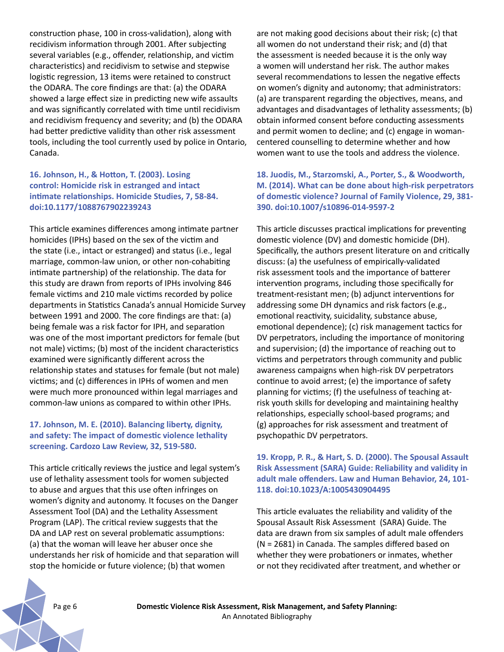construction phase, 100 in cross-validation), along with recidivism information through 2001. After subjecting several variables (e.g., offender, relationship, and victim characteristics) and recidivism to setwise and stepwise logistic regression, 13 items were retained to construct the ODARA. The core findings are that: (a) the ODARA showed a large effect size in predicting new wife assaults and was significantly correlated with time until recidivism and recidivism frequency and severity; and (b) the ODARA had better predictive validity than other risk assessment tools, including the tool currently used by police in Ontario, Canada.

# **16. Johnson, H., & Hotton, T. (2003). Losing control: Homicide risk in estranged and intact intimate relationships. Homicide Studies, 7, 58-84. doi:10.1177/1088767902239243**

This article examines differences among intimate partner homicides (IPHs) based on the sex of the victim and the state (i.e., intact or estranged) and status (i.e., legal marriage, common-law union, or other non-cohabiting intimate partnership) of the relationship. The data for this study are drawn from reports of IPHs involving 846 female victims and 210 male victims recorded by police departments in Statistics Canada's annual Homicide Survey between 1991 and 2000. The core findings are that: (a) being female was a risk factor for IPH, and separation was one of the most important predictors for female (but not male) victims; (b) most of the incident characteristics examined were significantly different across the relationship states and statuses for female (but not male) victims; and (c) differences in IPHs of women and men were much more pronounced within legal marriages and common-law unions as compared to within other IPHs.

# **17. Johnson, M. E. (2010). Balancing liberty, dignity, and safety: The impact of domestic violence lethality screening. Cardozo Law Review, 32, 519-580.**

This article critically reviews the justice and legal system's use of lethality assessment tools for women subjected to abuse and argues that this use often infringes on women's dignity and autonomy. It focuses on the Danger Assessment Tool (DA) and the Lethality Assessment Program (LAP). The critical review suggests that the DA and LAP rest on several problematic assumptions: (a) that the woman will leave her abuser once she understands her risk of homicide and that separation will stop the homicide or future violence; (b) that women

are not making good decisions about their risk; (c) that all women do not understand their risk; and (d) that the assessment is needed because it is the only way a women will understand her risk. The author makes several recommendations to lessen the negative effects on women's dignity and autonomy; that administrators: (a) are transparent regarding the objectives, means, and advantages and disadvantages of lethality assessments; (b) obtain informed consent before conducting assessments and permit women to decline; and (c) engage in womancentered counselling to determine whether and how women want to use the tools and address the violence.

**18. Juodis, M., Starzomski, A., Porter, S., & Woodworth, M. (2014). What can be done about high-risk perpetrators of domestic violence? Journal of Family Violence, 29, 381- 390. doi:10.1007/s10896-014-9597-2**

This article discusses practical implications for preventing domestic violence (DV) and domestic homicide (DH). Specifically, the authors present literature on and critically discuss: (a) the usefulness of empirically-validated risk assessment tools and the importance of batterer intervention programs, including those specifically for treatment-resistant men; (b) adjunct interventions for addressing some DH dynamics and risk factors (e.g., emotional reactivity, suicidality, substance abuse, emotional dependence); (c) risk management tactics for DV perpetrators, including the importance of monitoring and supervision; (d) the importance of reaching out to victims and perpetrators through community and public awareness campaigns when high-risk DV perpetrators continue to avoid arrest; (e) the importance of safety planning for victims; (f) the usefulness of teaching atrisk youth skills for developing and maintaining healthy relationships, especially school-based programs; and (g) approaches for risk assessment and treatment of psychopathic DV perpetrators.

# **19. Kropp, P. R., & Hart, S. D. (2000). The Spousal Assault Risk Assessment (SARA) Guide: Reliability and validity in adult male offenders. Law and Human Behavior, 24, 101- 118. doi:10.1023/A:1005430904495**

This article evaluates the reliability and validity of the Spousal Assault Risk Assessment (SARA) Guide. The data are drawn from six samples of adult male offenders (N = 2681) in Canada. The samples differed based on whether they were probationers or inmates, whether or not they recidivated after treatment, and whether or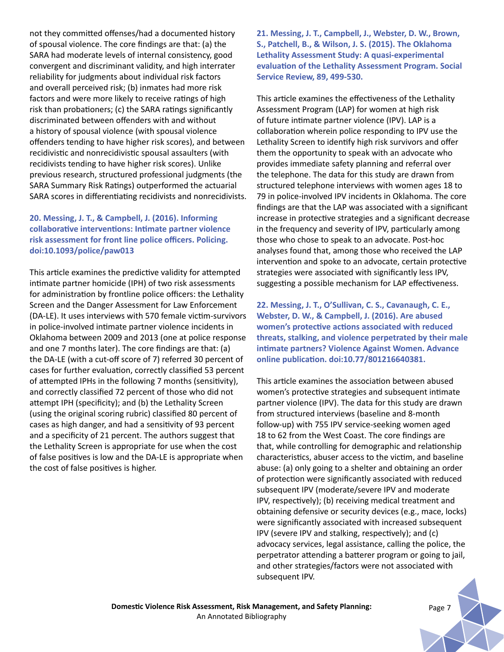not they committed offenses/had a documented history of spousal violence. The core findings are that: (a) the SARA had moderate levels of internal consistency, good convergent and discriminant validity, and high interrater reliability for judgments about individual risk factors and overall perceived risk; (b) inmates had more risk factors and were more likely to receive ratings of high risk than probationers; (c) the SARA ratings significantly discriminated between offenders with and without a history of spousal violence (with spousal violence offenders tending to have higher risk scores), and between recidivistic and nonrecidivistic spousal assaulters (with recidivists tending to have higher risk scores). Unlike previous research, structured professional judgments (the SARA Summary Risk Ratings) outperformed the actuarial SARA scores in differentiating recidivists and nonrecidivists.

# **20. Messing, J. T., & Campbell, J. (2016). Informing collaborative interventions: Intimate partner violence risk assessment for front line police officers. Policing. doi:10.1093/police/paw013**

This article examines the predictive validity for attempted intimate partner homicide (IPH) of two risk assessments for administration by frontline police officers: the Lethality Screen and the Danger Assessment for Law Enforcement (DA-LE). It uses interviews with 570 female victim-survivors in police-involved intimate partner violence incidents in Oklahoma between 2009 and 2013 (one at police response and one 7 months later). The core findings are that: (a) the DA-LE (with a cut-off score of 7) referred 30 percent of cases for further evaluation, correctly classified 53 percent of attempted IPHs in the following 7 months (sensitivity), and correctly classified 72 percent of those who did not attempt IPH (specificity); and (b) the Lethality Screen (using the original scoring rubric) classified 80 percent of cases as high danger, and had a sensitivity of 93 percent and a specificity of 21 percent. The authors suggest that the Lethality Screen is appropriate for use when the cost of false positives is low and the DA-LE is appropriate when the cost of false positives is higher.

**21. Messing, J. T., Campbell, J., Webster, D. W., Brown, S., Patchell, B., & Wilson, J. S. (2015). The Oklahoma Lethality Assessment Study: A quasi-experimental evaluation of the Lethality Assessment Program. Social Service Review, 89, 499-530.**

This article examines the effectiveness of the Lethality Assessment Program (LAP) for women at high risk of future intimate partner violence (IPV). LAP is a collaboration wherein police responding to IPV use the Lethality Screen to identify high risk survivors and offer them the opportunity to speak with an advocate who provides immediate safety planning and referral over the telephone. The data for this study are drawn from structured telephone interviews with women ages 18 to 79 in police-involved IPV incidents in Oklahoma. The core findings are that the LAP was associated with a significant increase in protective strategies and a significant decrease in the frequency and severity of IPV, particularly among those who chose to speak to an advocate. Post-hoc analyses found that, among those who received the LAP intervention and spoke to an advocate, certain protective strategies were associated with significantly less IPV, suggesting a possible mechanism for LAP effectiveness.

**22. Messing, J. T., O'Sullivan, C. S., Cavanaugh, C. E., Webster, D. W., & Campbell, J. (2016). Are abused women's protective actions associated with reduced threats, stalking, and violence perpetrated by their male intimate partners? Violence Against Women. Advance online publication. doi:10.77/801216640381.** 

This article examines the association between abused women's protective strategies and subsequent intimate partner violence (IPV). The data for this study are drawn from structured interviews (baseline and 8-month follow-up) with 755 IPV service-seeking women aged 18 to 62 from the West Coast. The core findings are that, while controlling for demographic and relationship characteristics, abuser access to the victim, and baseline abuse: (a) only going to a shelter and obtaining an order of protection were significantly associated with reduced subsequent IPV (moderate/severe IPV and moderate IPV, respectively); (b) receiving medical treatment and obtaining defensive or security devices (e.g., mace, locks) were significantly associated with increased subsequent IPV (severe IPV and stalking, respectively); and (c) advocacy services, legal assistance, calling the police, the perpetrator attending a batterer program or going to jail, and other strategies/factors were not associated with subsequent IPV.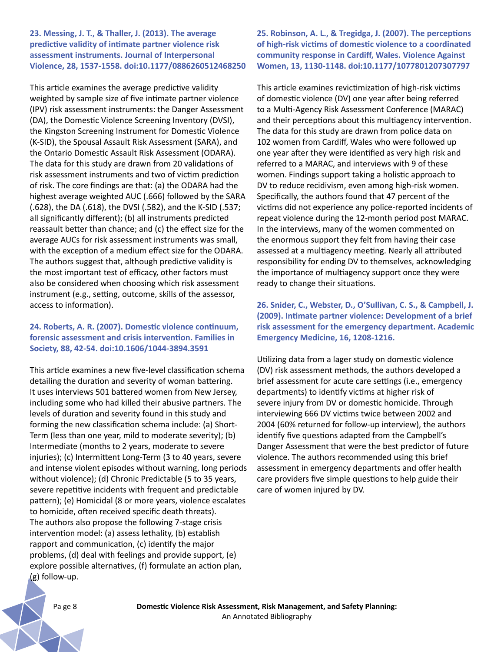#### **23. Messing, J. T., & Thaller, J. (2013). The average predictive validity of intimate partner violence risk assessment instruments. Journal of Interpersonal Violence, 28, 1537-1558. doi:10.1177/0886260512468250**

This article examines the average predictive validity weighted by sample size of five intimate partner violence (IPV) risk assessment instruments: the Danger Assessment (DA), the Domestic Violence Screening Inventory (DVSI), the Kingston Screening Instrument for Domestic Violence (K-SID), the Spousal Assault Risk Assessment (SARA), and the Ontario Domestic Assault Risk Assessment (ODARA). The data for this study are drawn from 20 validations of risk assessment instruments and two of victim prediction of risk. The core findings are that: (a) the ODARA had the highest average weighted AUC (.666) followed by the SARA (.628), the DA (.618), the DVSI (.582), and the K-SID (.537; all significantly different); (b) all instruments predicted reassault better than chance; and (c) the effect size for the average AUCs for risk assessment instruments was small, with the exception of a medium effect size for the ODARA. The authors suggest that, although predictive validity is the most important test of efficacy, other factors must also be considered when choosing which risk assessment instrument (e.g., setting, outcome, skills of the assessor, access to information).

# **24. Roberts, A. R. (2007). Domestic violence continuum, forensic assessment and crisis intervention. Families in Society, 88, 42-54. doi:10.1606/1044-3894.3591**

This article examines a new five-level classification schema detailing the duration and severity of woman battering. It uses interviews 501 battered women from New Jersey, including some who had killed their abusive partners. The levels of duration and severity found in this study and forming the new classification schema include: (a) Short-Term (less than one year, mild to moderate severity); (b) Intermediate (months to 2 years, moderate to severe injuries); (c) Intermittent Long-Term (3 to 40 years, severe and intense violent episodes without warning, long periods without violence); (d) Chronic Predictable (5 to 35 years, severe repetitive incidents with frequent and predictable pattern); (e) Homicidal (8 or more years, violence escalates to homicide, often received specific death threats). The authors also propose the following 7-stage crisis intervention model: (a) assess lethality, (b) establish rapport and communication, (c) identify the major problems, (d) deal with feelings and provide support, (e) explore possible alternatives, (f) formulate an action plan, (g) follow-up.

**25. Robinson, A. L., & Tregidga, J. (2007). The perceptions of high-risk victims of domestic violence to a coordinated community response in Cardiff, Wales. Violence Against Women, 13, 1130-1148. doi:10.1177/1077801207307797**

This article examines revictimization of high-risk victims of domestic violence (DV) one year after being referred to a Multi-Agency Risk Assessment Conference (MARAC) and their perceptions about this multiagency intervention. The data for this study are drawn from police data on 102 women from Cardiff, Wales who were followed up one year after they were identified as very high risk and referred to a MARAC, and interviews with 9 of these women. Findings support taking a holistic approach to DV to reduce recidivism, even among high-risk women. Specifically, the authors found that 47 percent of the victims did not experience any police-reported incidents of repeat violence during the 12-month period post MARAC. In the interviews, many of the women commented on the enormous support they felt from having their case assessed at a multiagency meeting. Nearly all attributed responsibility for ending DV to themselves, acknowledging the importance of multiagency support once they were ready to change their situations.

**26. Snider, C., Webster, D., O'Sullivan, C. S., & Campbell, J. (2009). Intimate partner violence: Development of a brief risk assessment for the emergency department. Academic Emergency Medicine, 16, 1208-1216.** 

Utilizing data from a lager study on domestic violence (DV) risk assessment methods, the authors developed a brief assessment for acute care settings (i.e., emergency departments) to identify victims at higher risk of severe injury from DV or domestic homicide. Through interviewing 666 DV victims twice between 2002 and 2004 (60% returned for follow-up interview), the authors identify five questions adapted from the Campbell's Danger Assessment that were the best predictor of future violence. The authors recommended using this brief assessment in emergency departments and offer health care providers five simple questions to help guide their care of women injured by DV.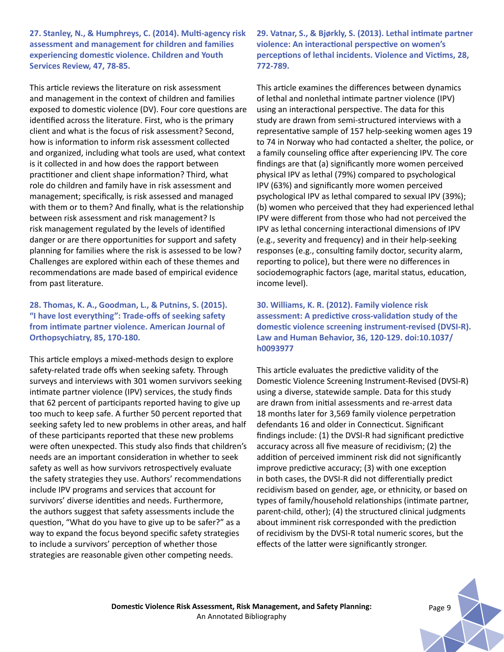**27. Stanley, N., & Humphreys, C. (2014). Multi-agency risk assessment and management for children and families experiencing domestic violence. Children and Youth Services Review, 47, 78-85.** 

This article reviews the literature on risk assessment and management in the context of children and families exposed to domestic violence (DV). Four core questions are identified across the literature. First, who is the primary client and what is the focus of risk assessment? Second, how is information to inform risk assessment collected and organized, including what tools are used, what context is it collected in and how does the rapport between practitioner and client shape information? Third, what role do children and family have in risk assessment and management; specifically, is risk assessed and managed with them or to them? And finally, what is the relationship between risk assessment and risk management? Is risk management regulated by the levels of identified danger or are there opportunities for support and safety planning for families where the risk is assessed to be low? Challenges are explored within each of these themes and recommendations are made based of empirical evidence from past literature.

# **28. Thomas, K. A., Goodman, L., & Putnins, S. (2015). "I have lost everything": Trade-offs of seeking safety from intimate partner violence. American Journal of Orthopsychiatry, 85, 170-180.**

This article employs a mixed-methods design to explore safety-related trade offs when seeking safety. Through surveys and interviews with 301 women survivors seeking intimate partner violence (IPV) services, the study finds that 62 percent of participants reported having to give up too much to keep safe. A further 50 percent reported that seeking safety led to new problems in other areas, and half of these participants reported that these new problems were often unexpected. This study also finds that children's needs are an important consideration in whether to seek safety as well as how survivors retrospectively evaluate the safety strategies they use. Authors' recommendations include IPV programs and services that account for survivors' diverse identities and needs. Furthermore, the authors suggest that safety assessments include the question, "What do you have to give up to be safer?" as a way to expand the focus beyond specific safety strategies to include a survivors' perception of whether those strategies are reasonable given other competing needs.

**29. Vatnar, S., & Bjørkly, S. (2013). Lethal intimate partner violence: An interactional perspective on women's perceptions of lethal incidents. Violence and Victims, 28, 772-789.** 

This article examines the differences between dynamics of lethal and nonlethal intimate partner violence (IPV) using an interactional perspective. The data for this study are drawn from semi-structured interviews with a representative sample of 157 help-seeking women ages 19 to 74 in Norway who had contacted a shelter, the police, or a family counseling office after experiencing IPV. The core findings are that (a) significantly more women perceived physical IPV as lethal (79%) compared to psychological IPV (63%) and significantly more women perceived psychological IPV as lethal compared to sexual IPV (39%); (b) women who perceived that they had experienced lethal IPV were different from those who had not perceived the IPV as lethal concerning interactional dimensions of IPV (e.g., severity and frequency) and in their help-seeking responses (e.g., consulting family doctor, security alarm, reporting to police), but there were no differences in sociodemographic factors (age, marital status, education, income level).

**30. Williams, K. R. (2012). Family violence risk assessment: A predictive cross-validation study of the domestic violence screening instrument-revised (DVSI-R). Law and Human Behavior, 36, 120-129. doi:10.1037/ h0093977**

This article evaluates the predictive validity of the Domestic Violence Screening Instrument-Revised (DVSI-R) using a diverse, statewide sample. Data for this study are drawn from initial assessments and re-arrest data 18 months later for 3,569 family violence perpetration defendants 16 and older in Connecticut. Significant findings include: (1) the DVSI-R had significant predictive accuracy across all five measure of recidivism; (2) the addition of perceived imminent risk did not significantly improve predictive accuracy; (3) with one exception in both cases, the DVSI-R did not differentially predict recidivism based on gender, age, or ethnicity, or based on types of family/household relationships (intimate partner, parent-child, other); (4) the structured clinical judgments about imminent risk corresponded with the prediction of recidivism by the DVSI-R total numeric scores, but the effects of the latter were significantly stronger.